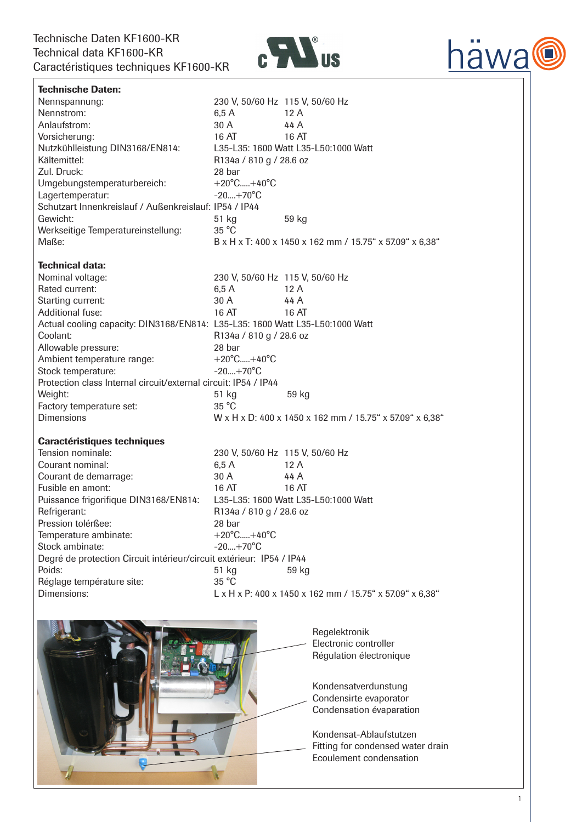

| <b>Technische Daten:</b>                                                     |                                      |                                                          |
|------------------------------------------------------------------------------|--------------------------------------|----------------------------------------------------------|
| Nennspannung:                                                                |                                      | 230 V, 50/60 Hz 115 V, 50/60 Hz                          |
| Nennstrom:                                                                   | 6,5 A                                | 12A                                                      |
| Anlaufstrom:                                                                 | 30 A                                 | 44 A                                                     |
| Vorsicherung:                                                                | 16 AT                                | 16 AT                                                    |
| Nutzkühlleistung DIN3168/EN814:                                              | L35-L35: 1600 Watt L35-L50:1000 Watt |                                                          |
| Kältemittel:                                                                 | R134a / 810 g / 28.6 oz              |                                                          |
| Zul. Druck:                                                                  | 28 bar                               |                                                          |
| Umgebungstemperaturbereich:                                                  | $+20^{\circ}$ C $+40^{\circ}$ C      |                                                          |
| Lagertemperatur:                                                             | $-20+70^{\circ}C$                    |                                                          |
| Schutzart Innenkreislauf / Außenkreislauf: IP54 / IP44                       |                                      |                                                          |
| Gewicht:                                                                     | 51 kg                                | 59 kg                                                    |
| Werkseitige Temperatureinstellung:                                           | 35 °C                                |                                                          |
| Maße:                                                                        |                                      | B x H x T: 400 x 1450 x 162 mm / 15.75" x 57.09" x 6,38" |
|                                                                              |                                      |                                                          |
| <b>Technical data:</b>                                                       |                                      |                                                          |
| Nominal voltage:                                                             |                                      | 230 V, 50/60 Hz 115 V, 50/60 Hz                          |
| Rated current:                                                               | 6,5A                                 | 12A                                                      |
| Starting current:                                                            | 30 A                                 | 44 A                                                     |
| Additional fuse:                                                             | 16 AT                                | 16 AT                                                    |
| Actual cooling capacity: DIN3168/EN814: L35-L35: 1600 Watt L35-L50:1000 Watt |                                      |                                                          |
| Coolant:                                                                     | R134a / 810 g / 28.6 oz              |                                                          |
| Allowable pressure:                                                          | 28 bar                               |                                                          |
| Ambient temperature range:                                                   | $+20^{\circ}$ C $+40^{\circ}$ C      |                                                          |
| Stock temperature:                                                           | $-20+70^{\circ}C$                    |                                                          |
| Protection class Internal circuit/external circuit: IP54 / IP44              |                                      |                                                          |
| Weight:                                                                      | 51 kg                                | 59 kg                                                    |
| Factory temperature set:                                                     | 35 °C                                |                                                          |
| <b>Dimensions</b>                                                            |                                      | W x H x D: 400 x 1450 x 162 mm / 15.75" x 57.09" x 6,38" |
|                                                                              |                                      |                                                          |
| <b>Caractéristiques techniques</b>                                           |                                      |                                                          |
| Tension nominale:                                                            |                                      | 230 V, 50/60 Hz 115 V, 50/60 Hz                          |
| Courant nominal:                                                             | 6,5A                                 | 12A                                                      |
| Courant de demarrage:                                                        | 30 A                                 | 44 A                                                     |
| Fusible en amont:                                                            | 16 AT                                | 16 AT                                                    |
| Puissance frigorifique DIN3168/EN814:                                        |                                      | L35-L35: 1600 Watt L35-L50:1000 Watt                     |
| Refrigerant:                                                                 | R134a / 810 g / 28.6 oz              |                                                          |
| Pression tolérßee:                                                           | 28 bar                               |                                                          |
| Temperature ambinate:                                                        | $+20^{\circ}$ C $+40^{\circ}$ C      |                                                          |
| Stock ambinate:                                                              | $-20+70^{\circ}C$                    |                                                          |
| Degré de protection Circuit intérieur/circuit extérieur: IP54 / IP44         |                                      |                                                          |
| Poids:                                                                       | 51 kg                                | 59 kg                                                    |
| Réglage température site:                                                    | 35 °C                                |                                                          |
| Dimensions:                                                                  |                                      | L x H x P: 400 x 1450 x 162 mm / 15.75" x 57.09" x 6,38" |
|                                                                              |                                      |                                                          |
|                                                                              |                                      |                                                          |
|                                                                              |                                      | Regelektronik                                            |



häwa